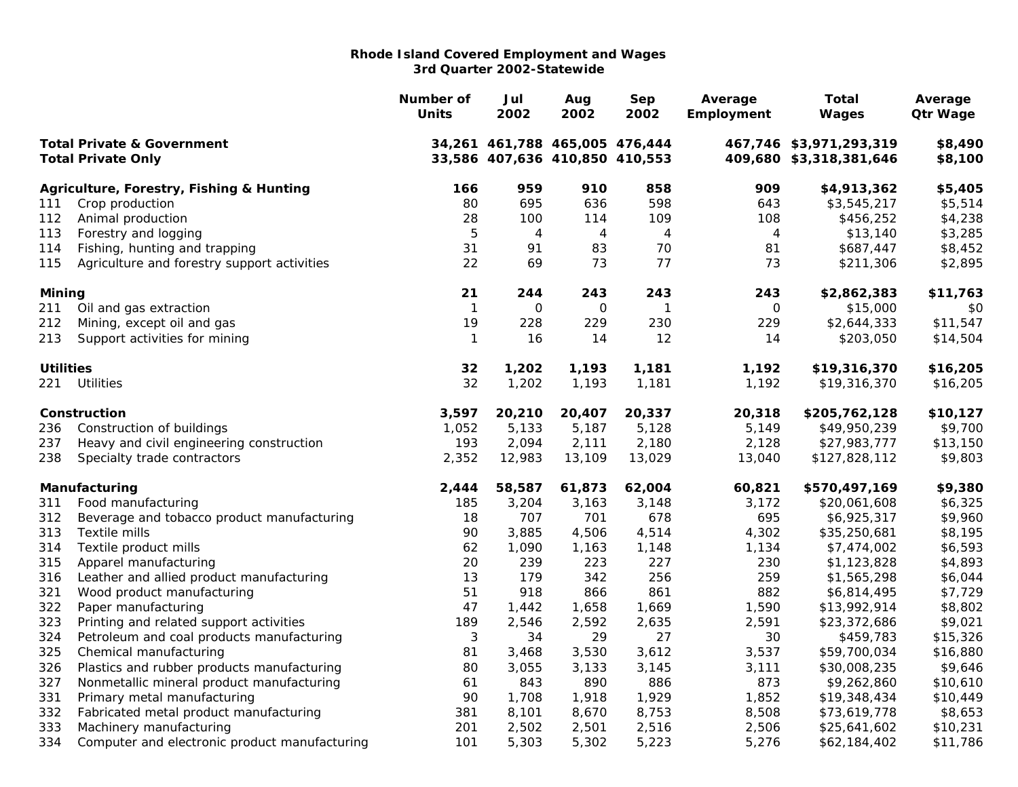|                                                                    |                                               | Number of<br><b>Units</b> | Jul<br>2002                                                      | Aug<br>2002    | Sep<br>2002    | Average<br>Employment | <b>Total</b><br><b>Wages</b>                       | Average<br><b>Qtr Wage</b> |
|--------------------------------------------------------------------|-----------------------------------------------|---------------------------|------------------------------------------------------------------|----------------|----------------|-----------------------|----------------------------------------------------|----------------------------|
| <b>Total Private &amp; Government</b><br><b>Total Private Only</b> |                                               |                           | 34,261 461,788 465,005 476,444<br>33,586 407,636 410,850 410,553 |                |                |                       | 467,746 \$3,971,293,319<br>409,680 \$3,318,381,646 | \$8,490<br>\$8,100         |
|                                                                    |                                               |                           |                                                                  |                |                |                       |                                                    |                            |
|                                                                    | Agriculture, Forestry, Fishing & Hunting      | 166                       | 959                                                              | 910            | 858            | 909                   | \$4,913,362                                        | \$5,405                    |
| 111                                                                | Crop production                               | 80                        | 695                                                              | 636            | 598            | 643                   | \$3,545,217                                        | \$5,514                    |
| 112                                                                | Animal production                             | 28                        | 100                                                              | 114            | 109            | 108                   | \$456,252                                          | \$4,238                    |
| 113                                                                | Forestry and logging                          | 5                         | 4                                                                | $\overline{4}$ | $\overline{4}$ | 4                     | \$13,140                                           | \$3,285                    |
| 114                                                                | Fishing, hunting and trapping                 | 31                        | 91                                                               | 83             | 70             | 81                    | \$687,447                                          | \$8,452                    |
| 115                                                                | Agriculture and forestry support activities   | 22                        | 69                                                               | 73             | 77             | 73                    | \$211,306                                          | \$2,895                    |
| Mining                                                             |                                               | 21                        | 244                                                              | 243            | 243            | 243                   | \$2,862,383                                        | \$11,763                   |
| 211                                                                | Oil and gas extraction                        | 1                         | $\mathbf 0$                                                      | $\mathbf 0$    | $\mathbf{1}$   | $\mathbf 0$           | \$15,000                                           | \$0                        |
| 212                                                                | Mining, except oil and gas                    | 19                        | 228                                                              | 229            | 230            | 229                   | \$2,644,333                                        | \$11,547                   |
| 213                                                                | Support activities for mining                 | $\mathbf{1}$              | 16                                                               | 14             | 12             | 14                    | \$203,050                                          | \$14,504                   |
| <b>Utilities</b>                                                   |                                               | 32                        | 1,202                                                            | 1,193          | 1,181          | 1,192                 | \$19,316,370                                       | \$16,205                   |
| 221                                                                | <b>Utilities</b>                              | 32                        | 1,202                                                            | 1,193          | 1,181          | 1,192                 | \$19,316,370                                       | \$16,205                   |
|                                                                    | Construction                                  | 3,597                     | 20,210                                                           | 20,407         | 20,337         | 20,318                | \$205,762,128                                      | \$10,127                   |
| 236                                                                | Construction of buildings                     | 1,052                     | 5,133                                                            | 5,187          | 5,128          | 5,149                 | \$49,950,239                                       | \$9,700                    |
| 237                                                                | Heavy and civil engineering construction      | 193                       | 2,094                                                            | 2,111          | 2,180          | 2,128                 | \$27,983,777                                       | \$13,150                   |
| 238                                                                | Specialty trade contractors                   | 2,352                     | 12,983                                                           | 13,109         | 13,029         | 13,040                | \$127,828,112                                      | \$9,803                    |
|                                                                    | Manufacturing                                 | 2,444                     | 58,587                                                           | 61,873         | 62,004         | 60,821                | \$570,497,169                                      | \$9,380                    |
| 311                                                                | Food manufacturing                            | 185                       | 3,204                                                            | 3,163          | 3,148          | 3,172                 | \$20,061,608                                       | \$6,325                    |
| 312                                                                | Beverage and tobacco product manufacturing    | 18                        | 707                                                              | 701            | 678            | 695                   | \$6,925,317                                        | \$9,960                    |
| 313                                                                | Textile mills                                 | 90                        | 3,885                                                            | 4,506          | 4,514          | 4,302                 | \$35,250,681                                       | \$8,195                    |
| 314                                                                | Textile product mills                         | 62                        | 1,090                                                            | 1,163          | 1,148          | 1,134                 | \$7,474,002                                        | \$6,593                    |
| 315                                                                | Apparel manufacturing                         | 20                        | 239                                                              | 223            | 227            | 230                   | \$1,123,828                                        | \$4,893                    |
| 316                                                                | Leather and allied product manufacturing      | 13                        | 179                                                              | 342            | 256            | 259                   | \$1,565,298                                        | \$6,044                    |
| 321                                                                | Wood product manufacturing                    | 51                        | 918                                                              | 866            | 861            | 882                   | \$6,814,495                                        | \$7,729                    |
| 322                                                                | Paper manufacturing                           | 47                        | 1,442                                                            | 1,658          | 1,669          | 1,590                 | \$13,992,914                                       | \$8,802                    |
| 323                                                                | Printing and related support activities       | 189                       | 2,546                                                            | 2,592          | 2,635          | 2,591                 | \$23,372,686                                       | \$9,021                    |
| 324                                                                | Petroleum and coal products manufacturing     | $\sqrt{3}$                | 34                                                               | 29             | 27             | 30                    | \$459,783                                          | \$15,326                   |
| 325                                                                | Chemical manufacturing                        | 81                        | 3,468                                                            | 3,530          | 3,612          | 3,537                 | \$59,700,034                                       | \$16,880                   |
| 326                                                                | Plastics and rubber products manufacturing    | 80                        | 3,055                                                            | 3,133          | 3,145          | 3,111                 | \$30,008,235                                       | \$9,646                    |
| 327                                                                | Nonmetallic mineral product manufacturing     | 61                        | 843                                                              | 890            | 886            | 873                   | \$9,262,860                                        | \$10,610                   |
| 331                                                                | Primary metal manufacturing                   | 90                        | 1,708                                                            | 1,918          | 1,929          | 1,852                 | \$19,348,434                                       | \$10,449                   |
| 332                                                                | Fabricated metal product manufacturing        | 381                       | 8,101                                                            | 8,670          | 8,753          | 8,508                 | \$73,619,778                                       | \$8,653                    |
| 333                                                                | Machinery manufacturing                       | 201                       | 2,502                                                            | 2,501          | 2,516          | 2,506                 | \$25,641,602                                       | \$10,231                   |
| 334                                                                | Computer and electronic product manufacturing | 101                       | 5,303                                                            | 5,302          | 5,223          | 5,276                 | \$62,184,402                                       | \$11,786                   |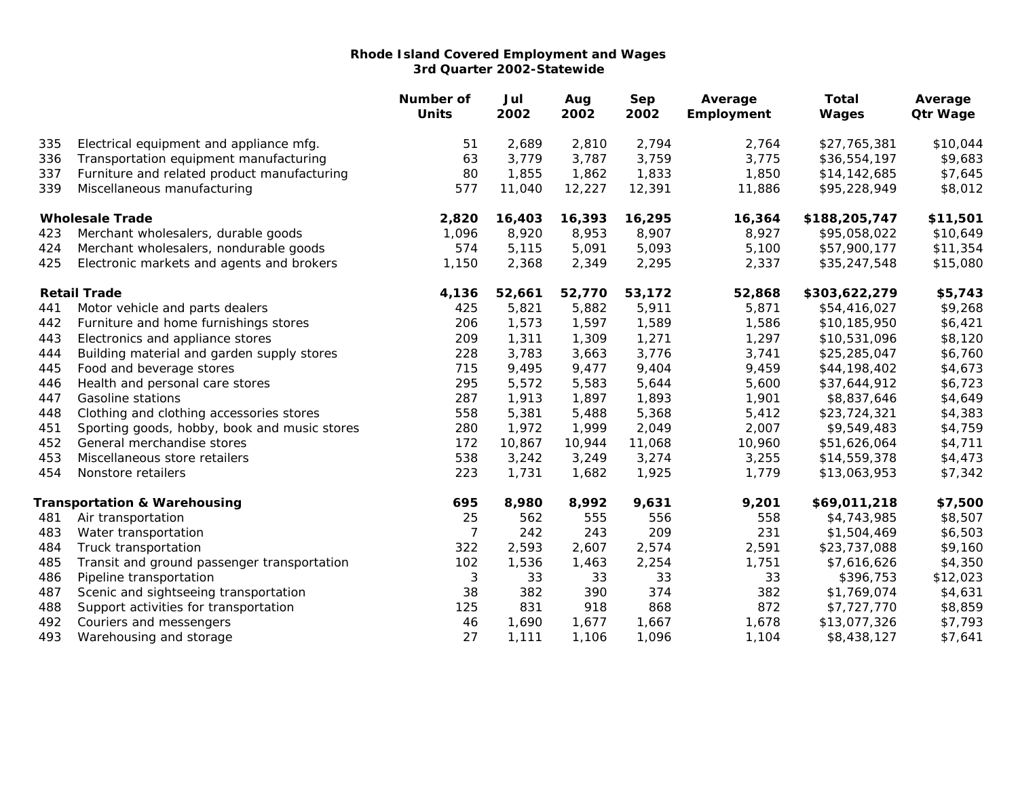|                        |                                              | Number of<br><b>Units</b> | Jul<br>2002 | Aug<br>2002 | Sep<br>2002 | Average<br>Employment | <b>Total</b><br>Wages | Average<br><b>Qtr Wage</b> |
|------------------------|----------------------------------------------|---------------------------|-------------|-------------|-------------|-----------------------|-----------------------|----------------------------|
| 335                    | Electrical equipment and appliance mfg.      | 51                        | 2,689       | 2,810       | 2,794       | 2,764                 | \$27,765,381          | \$10,044                   |
| 336                    | Transportation equipment manufacturing       | 63                        | 3,779       | 3,787       | 3,759       | 3,775                 | \$36,554,197          | \$9,683                    |
| 337                    | Furniture and related product manufacturing  | 80                        | 1,855       | 1,862       | 1,833       | 1,850                 | \$14,142,685          | \$7,645                    |
| 339                    | Miscellaneous manufacturing                  | 577                       | 11,040      | 12,227      | 12,391      | 11,886                | \$95,228,949          | \$8,012                    |
| <b>Wholesale Trade</b> |                                              | 2,820                     | 16,403      | 16,393      | 16,295      | 16,364                | \$188,205,747         | \$11,501                   |
| 423                    | Merchant wholesalers, durable goods          | 1,096                     | 8,920       | 8,953       | 8,907       | 8,927                 | \$95,058,022          | \$10,649                   |
| 424                    | Merchant wholesalers, nondurable goods       | 574                       | 5,115       | 5,091       | 5,093       | 5,100                 | \$57,900,177          | \$11,354                   |
| 425                    | Electronic markets and agents and brokers    | 1,150                     | 2,368       | 2,349       | 2,295       | 2,337                 | \$35,247,548          | \$15,080                   |
|                        | <b>Retail Trade</b>                          | 4,136                     | 52,661      | 52,770      | 53,172      | 52,868                | \$303,622,279         | \$5,743                    |
| 441                    | Motor vehicle and parts dealers              | 425                       | 5,821       | 5,882       | 5,911       | 5,871                 | \$54,416,027          | \$9,268                    |
| 442                    | Furniture and home furnishings stores        | 206                       | 1,573       | 1,597       | 1,589       | 1,586                 | \$10,185,950          | \$6,421                    |
| 443                    | Electronics and appliance stores             | 209                       | 1,311       | 1,309       | 1,271       | 1,297                 | \$10,531,096          | \$8,120                    |
| 444                    | Building material and garden supply stores   | 228                       | 3,783       | 3,663       | 3,776       | 3,741                 | \$25,285,047          | \$6,760                    |
| 445                    | Food and beverage stores                     | 715                       | 9,495       | 9,477       | 9,404       | 9,459                 | \$44,198,402          | \$4,673                    |
| 446                    | Health and personal care stores              | 295                       | 5,572       | 5,583       | 5,644       | 5,600                 | \$37,644,912          | \$6,723                    |
| 447                    | <b>Gasoline stations</b>                     | 287                       | 1,913       | 1,897       | 1,893       | 1,901                 | \$8,837,646           | \$4,649                    |
| 448                    | Clothing and clothing accessories stores     | 558                       | 5,381       | 5,488       | 5,368       | 5,412                 | \$23,724,321          | \$4,383                    |
| 451                    | Sporting goods, hobby, book and music stores | 280                       | 1,972       | 1,999       | 2,049       | 2,007                 | \$9,549,483           | \$4,759                    |
| 452                    | General merchandise stores                   | 172                       | 10,867      | 10,944      | 11,068      | 10,960                | \$51,626,064          | \$4,711                    |
| 453                    | Miscellaneous store retailers                | 538                       | 3,242       | 3,249       | 3,274       | 3,255                 | \$14,559,378          | \$4,473                    |
| 454                    | Nonstore retailers                           | 223                       | 1,731       | 1,682       | 1,925       | 1,779                 | \$13,063,953          | \$7,342                    |
|                        | <b>Transportation &amp; Warehousing</b>      | 695                       | 8,980       | 8,992       | 9,631       | 9,201                 | \$69,011,218          | \$7,500                    |
| 481                    | Air transportation                           | 25                        | 562         | 555         | 556         | 558                   | \$4,743,985           | \$8,507                    |
| 483                    | Water transportation                         | $\overline{7}$            | 242         | 243         | 209         | 231                   | \$1,504,469           | \$6,503                    |
| 484                    | Truck transportation                         | 322                       | 2,593       | 2,607       | 2,574       | 2,591                 | \$23,737,088          | \$9,160                    |
| 485                    | Transit and ground passenger transportation  | 102                       | 1,536       | 1,463       | 2,254       | 1,751                 | \$7,616,626           | \$4,350                    |
| 486                    | Pipeline transportation                      | $\sqrt{3}$                | 33          | 33          | 33          | 33                    | \$396,753             | \$12,023                   |
| 487                    | Scenic and sightseeing transportation        | 38                        | 382         | 390         | 374         | 382                   | \$1,769,074           | \$4,631                    |
| 488                    | Support activities for transportation        | 125                       | 831         | 918         | 868         | 872                   | \$7,727,770           | \$8,859                    |
| 492                    | Couriers and messengers                      | 46                        | 1,690       | 1,677       | 1,667       | 1,678                 | \$13,077,326          | \$7,793                    |
| 493                    | Warehousing and storage                      | 27                        | 1,111       | 1,106       | 1,096       | 1,104                 | \$8,438,127           | \$7,641                    |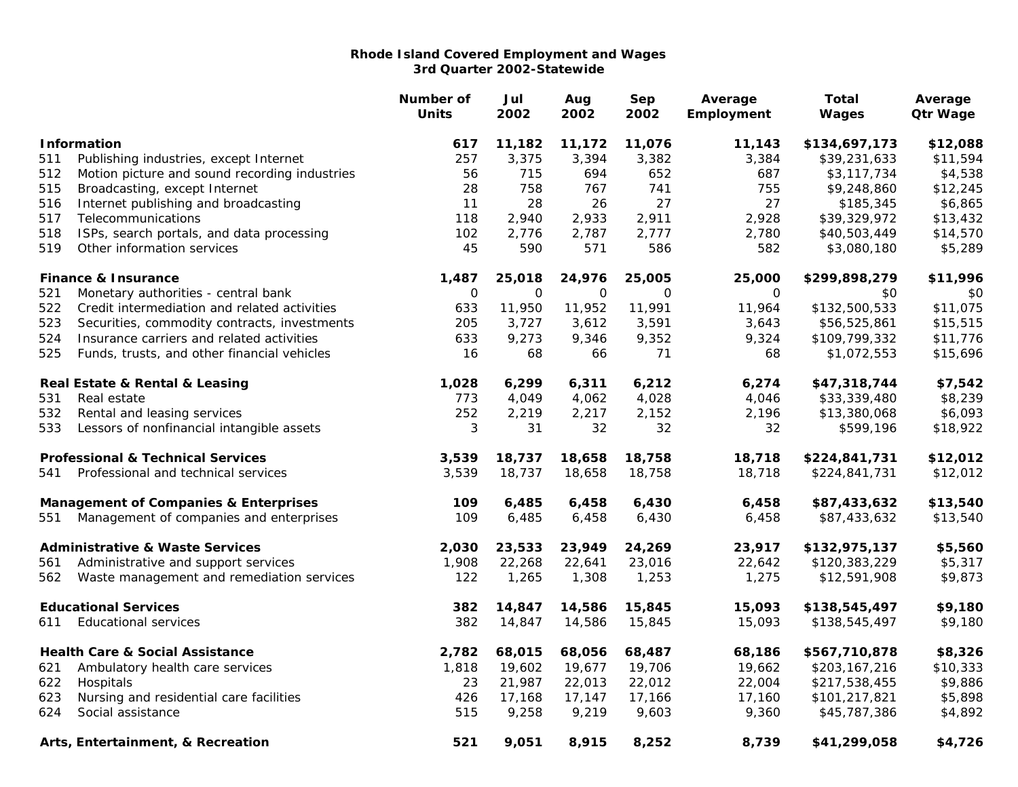|                                                  |                                               | Number of<br><b>Units</b> | Jul<br>2002 | Aug<br>2002 | Sep<br>2002  | Average<br>Employment | Total<br>Wages | Average<br><b>Qtr Wage</b> |
|--------------------------------------------------|-----------------------------------------------|---------------------------|-------------|-------------|--------------|-----------------------|----------------|----------------------------|
|                                                  | <b>Information</b>                            | 617                       | 11,182      | 11,172      | 11,076       | 11,143                | \$134,697,173  | \$12,088                   |
| 511                                              | Publishing industries, except Internet        | 257                       | 3,375       | 3,394       | 3,382        | 3,384                 | \$39,231,633   | \$11,594                   |
| 512                                              | Motion picture and sound recording industries | 56                        | 715         | 694         | 652          | 687                   | \$3,117,734    | \$4,538                    |
| 515                                              | Broadcasting, except Internet                 | 28                        | 758         | 767         | 741          | 755                   | \$9,248,860    | \$12,245                   |
| 516                                              | Internet publishing and broadcasting          | 11                        | 28          | 26          | 27           | 27                    | \$185,345      | \$6,865                    |
| 517                                              | Telecommunications                            | 118                       | 2,940       | 2,933       | 2,911        | 2,928                 | \$39,329,972   | \$13,432                   |
| 518                                              | ISPs, search portals, and data processing     | 102                       | 2,776       | 2,787       | 2,777        | 2,780                 | \$40,503,449   | \$14,570                   |
| 519                                              | Other information services                    | 45                        | 590         | 571         | 586          | 582                   | \$3,080,180    | \$5,289                    |
|                                                  | <b>Finance &amp; Insurance</b>                | 1,487                     | 25,018      | 24,976      | 25,005       | 25,000                | \$299,898,279  | \$11,996                   |
| 521                                              | Monetary authorities - central bank           | $\mathsf O$               | $\mathbf 0$ | $\mathbf 0$ | $\mathsf{O}$ | 0                     | \$0            | \$0                        |
| 522                                              | Credit intermediation and related activities  | 633                       | 11,950      | 11,952      | 11,991       | 11,964                | \$132,500,533  | \$11,075                   |
| 523                                              | Securities, commodity contracts, investments  | 205                       | 3,727       | 3,612       | 3,591        | 3,643                 | \$56,525,861   | \$15,515                   |
| 524                                              | Insurance carriers and related activities     | 633                       | 9,273       | 9,346       | 9,352        | 9,324                 | \$109,799,332  | \$11,776                   |
| 525                                              | Funds, trusts, and other financial vehicles   | 16                        | 68          | 66          | 71           | 68                    | \$1,072,553    | \$15,696                   |
|                                                  | Real Estate & Rental & Leasing                | 1,028                     | 6,299       | 6,311       | 6,212        | 6,274                 | \$47,318,744   | \$7,542                    |
| 531                                              | Real estate                                   | 773                       | 4,049       | 4,062       | 4,028        | 4,046                 | \$33,339,480   | \$8,239                    |
| 532                                              | Rental and leasing services                   | 252                       | 2,219       | 2,217       | 2,152        | 2,196                 | \$13,380,068   | \$6,093                    |
| 533                                              | Lessors of nonfinancial intangible assets     | 3                         | 31          | 32          | 32           | 32                    | \$599,196      | \$18,922                   |
|                                                  | <b>Professional &amp; Technical Services</b>  | 3,539                     | 18,737      | 18,658      | 18,758       | 18,718                | \$224,841,731  | \$12,012                   |
| 541                                              | Professional and technical services           | 3,539                     | 18,737      | 18,658      | 18,758       | 18,718                | \$224,841,731  | \$12,012                   |
| <b>Management of Companies &amp; Enterprises</b> |                                               | 109                       | 6,485       | 6,458       | 6,430        | 6,458                 | \$87,433,632   | \$13,540                   |
| 551                                              | Management of companies and enterprises       | 109                       | 6,485       | 6,458       | 6,430        | 6,458                 | \$87,433,632   | \$13,540                   |
|                                                  | <b>Administrative &amp; Waste Services</b>    | 2,030                     | 23,533      | 23,949      | 24,269       | 23,917                | \$132,975,137  | \$5,560                    |
| 561                                              | Administrative and support services           | 1,908                     | 22,268      | 22,641      | 23,016       | 22,642                | \$120,383,229  | \$5,317                    |
| 562                                              | Waste management and remediation services     | 122                       | 1,265       | 1,308       | 1,253        | 1,275                 | \$12,591,908   | \$9,873                    |
|                                                  | <b>Educational Services</b>                   | 382                       | 14,847      | 14,586      | 15,845       | 15,093                | \$138,545,497  | \$9,180                    |
| 611                                              | <b>Educational services</b>                   | 382                       | 14,847      | 14,586      | 15,845       | 15,093                | \$138,545,497  | \$9,180                    |
|                                                  | <b>Health Care &amp; Social Assistance</b>    | 2,782                     | 68,015      | 68,056      | 68,487       | 68,186                | \$567,710,878  | \$8,326                    |
| 621                                              | Ambulatory health care services               | 1,818                     | 19,602      | 19,677      | 19,706       | 19,662                | \$203,167,216  | \$10,333                   |
| 622                                              | Hospitals                                     | 23                        | 21,987      | 22,013      | 22,012       | 22,004                | \$217,538,455  | \$9,886                    |
| 623                                              | Nursing and residential care facilities       | 426                       | 17,168      | 17,147      | 17,166       | 17,160                | \$101,217,821  | \$5,898                    |
| 624                                              | Social assistance                             | 515                       | 9,258       | 9,219       | 9,603        | 9,360                 | \$45,787,386   | \$4,892                    |
|                                                  | Arts, Entertainment, & Recreation             | 521                       | 9,051       | 8,915       | 8,252        | 8,739                 | \$41,299,058   | \$4,726                    |